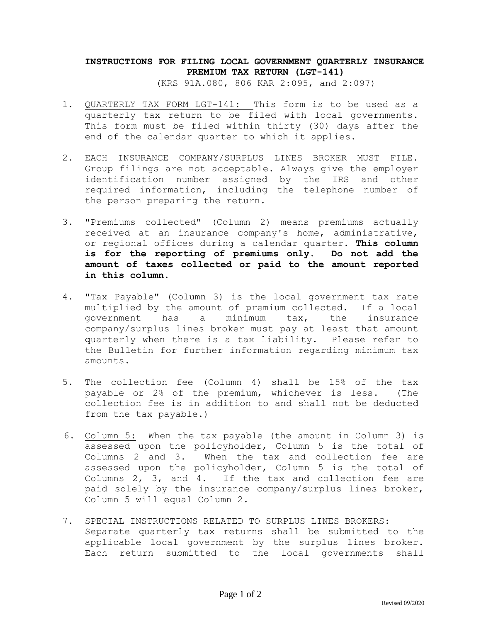## **INSTRUCTIONS FOR FILING LOCAL GOVERNMENT QUARTERLY INSURANCE PREMIUM TAX RETURN (LGT-141)**

(KRS 91A.080, 806 KAR 2:095, and 2:097)

- 1. QUARTERLY TAX FORM LGT-141: This form is to be used as a quarterly tax return to be filed with local governments. This form must be filed within thirty (30) days after the end of the calendar quarter to which it applies.
- 2. EACH INSURANCE COMPANY/SURPLUS LINES BROKER MUST FILE. Group filings are not acceptable. Always give the employer identification number assigned by the IRS and other required information, including the telephone number of the person preparing the return.
- 3. "Premiums collected" (Column 2) means premiums actually received at an insurance company's home, administrative, or regional offices during a calendar quarter. **This column is for the reporting of premiums only. Do not add the amount of taxes collected or paid to the amount reported in this column.**
- 4. "Tax Payable" (Column 3) is the local government tax rate multiplied by the amount of premium collected. If a local government has a minimum tax, the insurance company/surplus lines broker must pay at least that amount quarterly when there is a tax liability. Please refer to the Bulletin for further information regarding minimum tax amounts.
- 5. The collection fee (Column 4) shall be 15% of the tax payable or 2% of the premium, whichever is less. (The collection fee is in addition to and shall not be deducted from the tax payable.)
- 6. Column 5: When the tax payable (the amount in Column 3) is assessed upon the policyholder, Column 5 is the total of Columns 2 and 3. When the tax and collection fee are assessed upon the policyholder, Column 5 is the total of Columns 2, 3, and 4. If the tax and collection fee are paid solely by the insurance company/surplus lines broker, Column 5 will equal Column 2.
- 7. SPECIAL INSTRUCTIONS RELATED TO SURPLUS LINES BROKERS: Separate quarterly tax returns shall be submitted to the applicable local government by the surplus lines broker. Each return submitted to the local governments shall